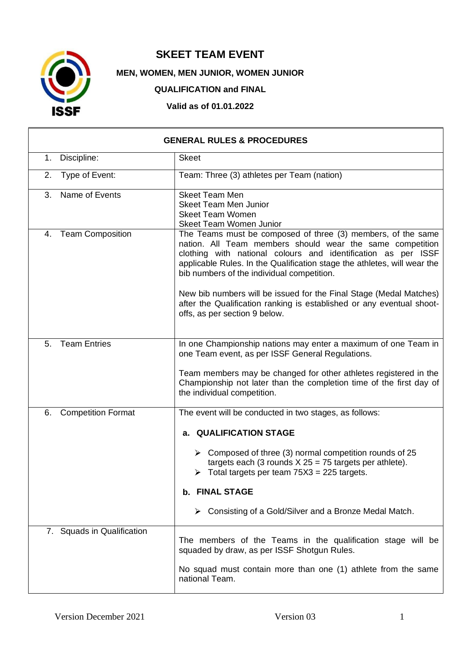

## **SKEET TEAM EVENT**

**MEN, WOMEN, MEN JUNIOR, WOMEN JUNIOR** 

**QUALIFICATION and FINAL**

**Valid as of 01.01.2022**

| <b>GENERAL RULES &amp; PROCEDURES</b> |  |                                                                                                                                                                                                                                                                                                                                                                                                                                                                                                      |
|---------------------------------------|--|------------------------------------------------------------------------------------------------------------------------------------------------------------------------------------------------------------------------------------------------------------------------------------------------------------------------------------------------------------------------------------------------------------------------------------------------------------------------------------------------------|
| 1. Discipline:                        |  | <b>Skeet</b>                                                                                                                                                                                                                                                                                                                                                                                                                                                                                         |
| Type of Event:<br>2.                  |  | Team: Three (3) athletes per Team (nation)                                                                                                                                                                                                                                                                                                                                                                                                                                                           |
| Name of Events<br>3.                  |  | <b>Skeet Team Men</b><br><b>Skeet Team Men Junior</b><br><b>Skeet Team Women</b><br>Skeet Team Women Junior                                                                                                                                                                                                                                                                                                                                                                                          |
| 4. Team Composition                   |  | The Teams must be composed of three (3) members, of the same<br>nation. All Team members should wear the same competition<br>clothing with national colours and identification as per ISSF<br>applicable Rules. In the Qualification stage the athletes, will wear the<br>bib numbers of the individual competition.<br>New bib numbers will be issued for the Final Stage (Medal Matches)<br>after the Qualification ranking is established or any eventual shoot-<br>offs, as per section 9 below. |
| <b>Team Entries</b><br>5.             |  | In one Championship nations may enter a maximum of one Team in<br>one Team event, as per ISSF General Regulations.<br>Team members may be changed for other athletes registered in the<br>Championship not later than the completion time of the first day of<br>the individual competition.                                                                                                                                                                                                         |
| <b>Competition Format</b><br>6.       |  | The event will be conducted in two stages, as follows:<br>a. QUALIFICATION STAGE<br>$\triangleright$ Composed of three (3) normal competition rounds of 25<br>targets each (3 rounds $X 25 = 75$ targets per athlete).<br>$\triangleright$ Total targets per team 75X3 = 225 targets.<br>b. FINAL STAGE<br>Consisting of a Gold/Silver and a Bronze Medal Match.                                                                                                                                     |
| 7. Squads in Qualification            |  | The members of the Teams in the qualification stage will be<br>squaded by draw, as per ISSF Shotgun Rules.<br>No squad must contain more than one (1) athlete from the same<br>national Team.                                                                                                                                                                                                                                                                                                        |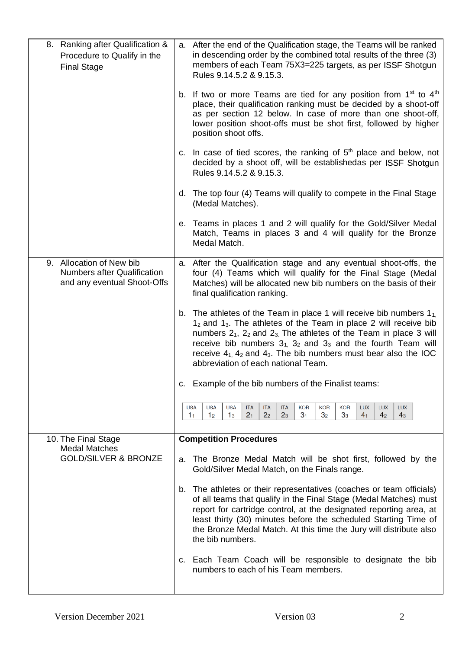| 8. Ranking after Qualification &<br>Procedure to Qualify in the<br><b>Final Stage</b>         | a. After the end of the Qualification stage, the Teams will be ranked<br>in descending order by the combined total results of the three (3)<br>members of each Team 75X3=225 targets, as per ISSF Shotgun<br>Rules 9.14.5.2 & 9.15.3.                                                                                                                                                                                   |
|-----------------------------------------------------------------------------------------------|-------------------------------------------------------------------------------------------------------------------------------------------------------------------------------------------------------------------------------------------------------------------------------------------------------------------------------------------------------------------------------------------------------------------------|
|                                                                                               | b. If two or more Teams are tied for any position from $1st$ to $4th$<br>place, their qualification ranking must be decided by a shoot-off<br>as per section 12 below. In case of more than one shoot-off,<br>lower position shoot-offs must be shot first, followed by higher<br>position shoot offs.                                                                                                                  |
|                                                                                               | c. In case of tied scores, the ranking of $5th$ place and below, not<br>decided by a shoot off, will be establishedas per ISSF Shotgun<br>Rules 9.14.5.2 & 9.15.3.                                                                                                                                                                                                                                                      |
|                                                                                               | d. The top four (4) Teams will qualify to compete in the Final Stage<br>(Medal Matches).                                                                                                                                                                                                                                                                                                                                |
|                                                                                               | e. Teams in places 1 and 2 will qualify for the Gold/Silver Medal<br>Match, Teams in places 3 and 4 will qualify for the Bronze<br>Medal Match.                                                                                                                                                                                                                                                                         |
| 9. Allocation of New bib<br><b>Numbers after Qualification</b><br>and any eventual Shoot-Offs | a. After the Qualification stage and any eventual shoot-offs, the<br>four (4) Teams which will qualify for the Final Stage (Medal<br>Matches) will be allocated new bib numbers on the basis of their<br>final qualification ranking.                                                                                                                                                                                   |
|                                                                                               | b. The athletes of the Team in place 1 will receive bib numbers $1_{1}$ .<br>$12$ and $13$ . The athletes of the Team in place 2 will receive bib<br>numbers $2_1$ , $2_2$ and $2_3$ . The athletes of the Team in place 3 will<br>receive bib numbers $31$ , $32$ and $33$ and the fourth Team will<br>receive $4_1$ , $4_2$ and $4_3$ . The bib numbers must bear also the IOC<br>abbreviation of each national Team. |
|                                                                                               | c. Example of the bib numbers of the Finalist teams:                                                                                                                                                                                                                                                                                                                                                                    |
|                                                                                               | <b>USA</b><br><b>USA</b><br><b>ITA</b><br><b>KOR</b><br><b>KOR</b><br><b>KOR</b><br><b>LUX</b><br><b>LUX</b><br><b>LUX</b><br><b>USA</b><br><b>ITA</b><br><b>ITA</b><br>2 <sub>1</sub><br>2 <sub>2</sub><br>3 <sub>1</sub><br>1 <sub>2</sub><br>2 <sub>3</sub><br>3 <sub>2</sub><br>3 <sub>3</sub><br>4 <sub>1</sub><br>4 <sub>2</sub><br>4 <sub>3</sub><br>1 <sub>1</sub><br>1 <sub>3</sub>                            |
| 10. The Final Stage<br><b>Medal Matches</b>                                                   | <b>Competition Procedures</b>                                                                                                                                                                                                                                                                                                                                                                                           |
| <b>GOLD/SILVER &amp; BRONZE</b>                                                               | The Bronze Medal Match will be shot first, followed by the<br>а.<br>Gold/Silver Medal Match, on the Finals range.                                                                                                                                                                                                                                                                                                       |
|                                                                                               | The athletes or their representatives (coaches or team officials)<br>b.<br>of all teams that qualify in the Final Stage (Medal Matches) must<br>report for cartridge control, at the designated reporting area, at<br>least thirty (30) minutes before the scheduled Starting Time of<br>the Bronze Medal Match. At this time the Jury will distribute also<br>the bib numbers.                                         |
|                                                                                               | c. Each Team Coach will be responsible to designate the bib<br>numbers to each of his Team members.                                                                                                                                                                                                                                                                                                                     |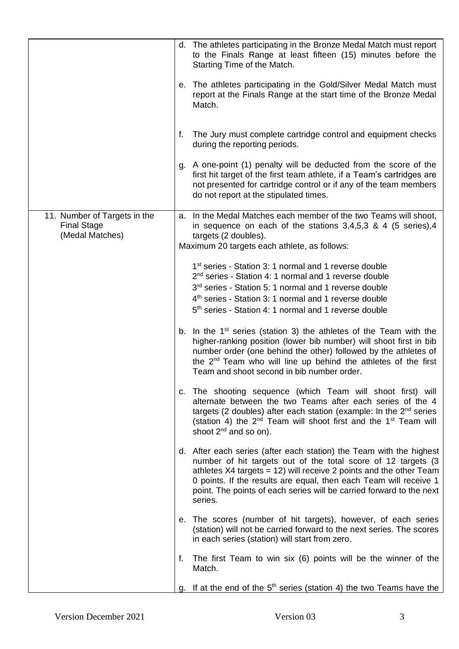|                                                                       | d. The athletes participating in the Bronze Medal Match must report<br>to the Finals Range at least fifteen (15) minutes before the<br>Starting Time of the Match.                                                                                                                                                                                                 |
|-----------------------------------------------------------------------|--------------------------------------------------------------------------------------------------------------------------------------------------------------------------------------------------------------------------------------------------------------------------------------------------------------------------------------------------------------------|
|                                                                       | e. The athletes participating in the Gold/Silver Medal Match must<br>report at the Finals Range at the start time of the Bronze Medal<br>Match.                                                                                                                                                                                                                    |
|                                                                       | The Jury must complete cartridge control and equipment checks<br>f.<br>during the reporting periods.                                                                                                                                                                                                                                                               |
|                                                                       | g. A one-point (1) penalty will be deducted from the score of the<br>first hit target of the first team athlete, if a Team's cartridges are<br>not presented for cartridge control or if any of the team members<br>do not report at the stipulated times.                                                                                                         |
| 11. Number of Targets in the<br><b>Final Stage</b><br>(Medal Matches) | a. In the Medal Matches each member of the two Teams will shoot,<br>in sequence on each of the stations $3,4,5,3$ & 4 (5 series), 4<br>targets (2 doubles).<br>Maximum 20 targets each athlete, as follows:                                                                                                                                                        |
|                                                                       | 1 <sup>st</sup> series - Station 3: 1 normal and 1 reverse double<br>2 <sup>nd</sup> series - Station 4: 1 normal and 1 reverse double<br>3rd series - Station 5: 1 normal and 1 reverse double<br>4 <sup>th</sup> series - Station 3: 1 normal and 1 reverse double<br>5 <sup>th</sup> series - Station 4: 1 normal and 1 reverse double                          |
|                                                                       | b. In the $1st$ series (station 3) the athletes of the Team with the<br>higher-ranking position (lower bib number) will shoot first in bib<br>number order (one behind the other) followed by the athletes of<br>the 2 <sup>nd</sup> Team who will line up behind the athletes of the first<br>Team and shoot second in bib number order.                          |
|                                                                       | c. The shooting sequence (which Team will shoot first) will<br>alternate between the two Teams after each series of the 4<br>targets (2 doubles) after each station (example: In the 2 <sup>nd</sup> series<br>(station 4) the 2 <sup>nd</sup> Team will shoot first and the 1 <sup>st</sup> Team will<br>shoot $2^{nd}$ and so on).                               |
|                                                                       | d. After each series (after each station) the Team with the highest<br>number of hit targets out of the total score of 12 targets (3<br>athletes X4 targets = 12) will receive 2 points and the other Team<br>0 points. If the results are equal, then each Team will receive 1<br>point. The points of each series will be carried forward to the next<br>series. |
|                                                                       | e. The scores (number of hit targets), however, of each series<br>(station) will not be carried forward to the next series. The scores<br>in each series (station) will start from zero.                                                                                                                                                                           |
|                                                                       | The first Team to win six (6) points will be the winner of the<br>f.<br>Match.                                                                                                                                                                                                                                                                                     |
|                                                                       | g. If at the end of the $5th$ series (station 4) the two Teams have the                                                                                                                                                                                                                                                                                            |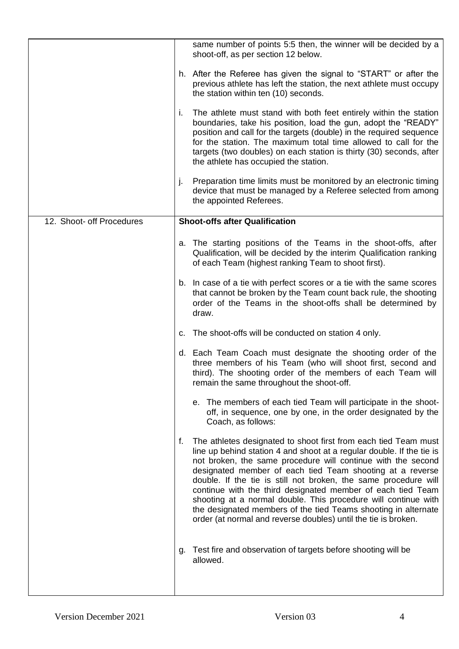|                           | same number of points 5:5 then, the winner will be decided by a<br>shoot-off, as per section 12 below.                                                                                                                                                                                                                                                                                                                                                                                                                                                                                                              |
|---------------------------|---------------------------------------------------------------------------------------------------------------------------------------------------------------------------------------------------------------------------------------------------------------------------------------------------------------------------------------------------------------------------------------------------------------------------------------------------------------------------------------------------------------------------------------------------------------------------------------------------------------------|
|                           | h. After the Referee has given the signal to "START" or after the<br>previous athlete has left the station, the next athlete must occupy<br>the station within ten (10) seconds.                                                                                                                                                                                                                                                                                                                                                                                                                                    |
|                           | The athlete must stand with both feet entirely within the station<br>i.<br>boundaries, take his position, load the gun, adopt the "READY"<br>position and call for the targets (double) in the required sequence<br>for the station. The maximum total time allowed to call for the<br>targets (two doubles) on each station is thirty (30) seconds, after<br>the athlete has occupied the station.                                                                                                                                                                                                                 |
|                           | Preparation time limits must be monitored by an electronic timing<br>j.<br>device that must be managed by a Referee selected from among<br>the appointed Referees.                                                                                                                                                                                                                                                                                                                                                                                                                                                  |
| 12. Shoot- off Procedures | <b>Shoot-offs after Qualification</b>                                                                                                                                                                                                                                                                                                                                                                                                                                                                                                                                                                               |
|                           | a. The starting positions of the Teams in the shoot-offs, after<br>Qualification, will be decided by the interim Qualification ranking<br>of each Team (highest ranking Team to shoot first).                                                                                                                                                                                                                                                                                                                                                                                                                       |
|                           | b. In case of a tie with perfect scores or a tie with the same scores<br>that cannot be broken by the Team count back rule, the shooting<br>order of the Teams in the shoot-offs shall be determined by<br>draw.                                                                                                                                                                                                                                                                                                                                                                                                    |
|                           | c. The shoot-offs will be conducted on station 4 only.                                                                                                                                                                                                                                                                                                                                                                                                                                                                                                                                                              |
|                           | d. Each Team Coach must designate the shooting order of the<br>three members of his Team (who will shoot first, second and<br>third). The shooting order of the members of each Team will<br>remain the same throughout the shoot-off.                                                                                                                                                                                                                                                                                                                                                                              |
|                           | e. The members of each tied Team will participate in the shoot-<br>off, in sequence, one by one, in the order designated by the<br>Coach, as follows:                                                                                                                                                                                                                                                                                                                                                                                                                                                               |
|                           | The athletes designated to shoot first from each tied Team must<br>f.<br>line up behind station 4 and shoot at a regular double. If the tie is<br>not broken, the same procedure will continue with the second<br>designated member of each tied Team shooting at a reverse<br>double. If the tie is still not broken, the same procedure will<br>continue with the third designated member of each tied Team<br>shooting at a normal double. This procedure will continue with<br>the designated members of the tied Teams shooting in alternate<br>order (at normal and reverse doubles) until the tie is broken. |
|                           | Test fire and observation of targets before shooting will be<br>g.<br>allowed.                                                                                                                                                                                                                                                                                                                                                                                                                                                                                                                                      |
|                           |                                                                                                                                                                                                                                                                                                                                                                                                                                                                                                                                                                                                                     |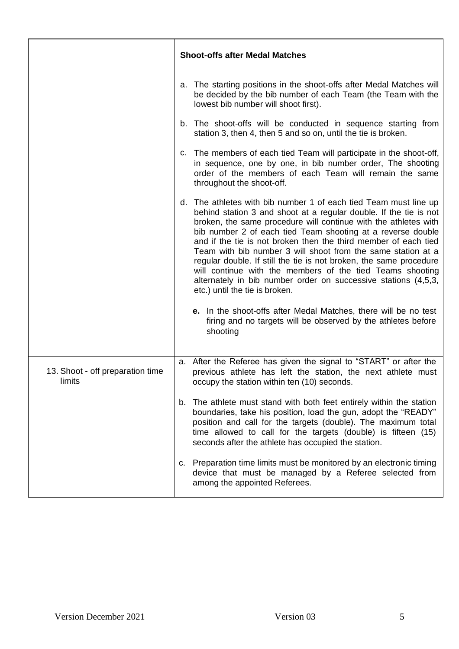|                                            | <b>Shoot-offs after Medal Matches</b>                                                                                                                                                                                                                                                                                                                                                                                                                                                                                                                                                                                                                                                                                                                                                 |
|--------------------------------------------|---------------------------------------------------------------------------------------------------------------------------------------------------------------------------------------------------------------------------------------------------------------------------------------------------------------------------------------------------------------------------------------------------------------------------------------------------------------------------------------------------------------------------------------------------------------------------------------------------------------------------------------------------------------------------------------------------------------------------------------------------------------------------------------|
|                                            | a. The starting positions in the shoot-offs after Medal Matches will<br>be decided by the bib number of each Team (the Team with the<br>lowest bib number will shoot first).                                                                                                                                                                                                                                                                                                                                                                                                                                                                                                                                                                                                          |
|                                            | b. The shoot-offs will be conducted in sequence starting from<br>station 3, then 4, then 5 and so on, until the tie is broken.                                                                                                                                                                                                                                                                                                                                                                                                                                                                                                                                                                                                                                                        |
|                                            | c. The members of each tied Team will participate in the shoot-off,<br>in sequence, one by one, in bib number order, The shooting<br>order of the members of each Team will remain the same<br>throughout the shoot-off.                                                                                                                                                                                                                                                                                                                                                                                                                                                                                                                                                              |
|                                            | d. The athletes with bib number 1 of each tied Team must line up<br>behind station 3 and shoot at a regular double. If the tie is not<br>broken, the same procedure will continue with the athletes with<br>bib number 2 of each tied Team shooting at a reverse double<br>and if the tie is not broken then the third member of each tied<br>Team with bib number 3 will shoot from the same station at a<br>regular double. If still the tie is not broken, the same procedure<br>will continue with the members of the tied Teams shooting<br>alternately in bib number order on successive stations (4,5,3,<br>etc.) until the tie is broken.<br>e. In the shoot-offs after Medal Matches, there will be no test<br>firing and no targets will be observed by the athletes before |
|                                            | shooting                                                                                                                                                                                                                                                                                                                                                                                                                                                                                                                                                                                                                                                                                                                                                                              |
| 13. Shoot - off preparation time<br>limits | a. After the Referee has given the signal to "START" or after the<br>previous athlete has left the station, the next athlete must<br>occupy the station within ten (10) seconds.                                                                                                                                                                                                                                                                                                                                                                                                                                                                                                                                                                                                      |
|                                            | b. The athlete must stand with both feet entirely within the station<br>boundaries, take his position, load the gun, adopt the "READY"<br>position and call for the targets (double). The maximum total<br>time allowed to call for the targets (double) is fifteen (15)<br>seconds after the athlete has occupied the station.                                                                                                                                                                                                                                                                                                                                                                                                                                                       |
|                                            | c. Preparation time limits must be monitored by an electronic timing<br>device that must be managed by a Referee selected from<br>among the appointed Referees.                                                                                                                                                                                                                                                                                                                                                                                                                                                                                                                                                                                                                       |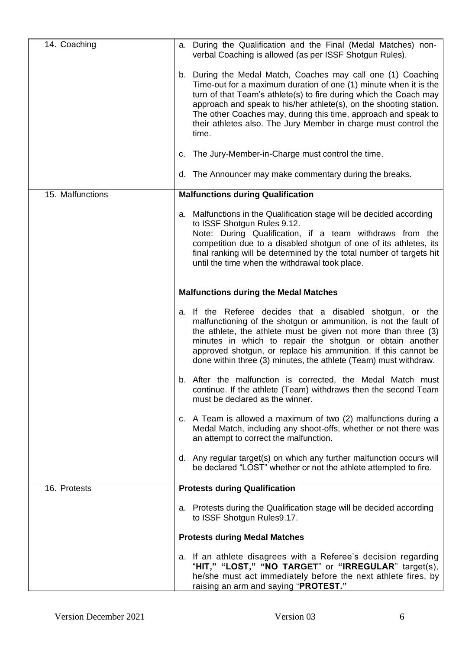| 14. Coaching     | a. During the Qualification and the Final (Medal Matches) non-<br>verbal Coaching is allowed (as per ISSF Shotgun Rules).                                                                                                                                                                                                                                                                                                 |
|------------------|---------------------------------------------------------------------------------------------------------------------------------------------------------------------------------------------------------------------------------------------------------------------------------------------------------------------------------------------------------------------------------------------------------------------------|
|                  | b. During the Medal Match, Coaches may call one (1) Coaching<br>Time-out for a maximum duration of one (1) minute when it is the<br>turn of that Team's athlete(s) to fire during which the Coach may<br>approach and speak to his/her athlete(s), on the shooting station.<br>The other Coaches may, during this time, approach and speak to<br>their athletes also. The Jury Member in charge must control the<br>time. |
|                  | The Jury-Member-in-Charge must control the time.<br>C.                                                                                                                                                                                                                                                                                                                                                                    |
|                  | d. The Announcer may make commentary during the breaks.                                                                                                                                                                                                                                                                                                                                                                   |
| 15. Malfunctions | <b>Malfunctions during Qualification</b>                                                                                                                                                                                                                                                                                                                                                                                  |
|                  | a. Malfunctions in the Qualification stage will be decided according<br>to ISSF Shotgun Rules 9.12.<br>Note: During Qualification, if a team withdraws from the<br>competition due to a disabled shotgun of one of its athletes, its<br>final ranking will be determined by the total number of targets hit<br>until the time when the withdrawal took place.                                                             |
|                  | <b>Malfunctions during the Medal Matches</b>                                                                                                                                                                                                                                                                                                                                                                              |
|                  | a. If the Referee decides that a disabled shotgun, or the<br>malfunctioning of the shotgun or ammunition, is not the fault of<br>the athlete, the athlete must be given not more than three (3)<br>minutes in which to repair the shotgun or obtain another<br>approved shotgun, or replace his ammunition. If this cannot be<br>done within three (3) minutes, the athlete (Team) must withdraw.                         |
|                  | b. After the malfunction is corrected, the Medal Match must<br>continue. If the athlete (Team) withdraws then the second Team<br>must be declared as the winner.                                                                                                                                                                                                                                                          |
|                  | c. A Team is allowed a maximum of two (2) malfunctions during a<br>Medal Match, including any shoot-offs, whether or not there was<br>an attempt to correct the malfunction.                                                                                                                                                                                                                                              |
|                  | d. Any regular target(s) on which any further malfunction occurs will<br>be declared "LOST" whether or not the athlete attempted to fire.                                                                                                                                                                                                                                                                                 |
| 16. Protests     | <b>Protests during Qualification</b>                                                                                                                                                                                                                                                                                                                                                                                      |
|                  | a. Protests during the Qualification stage will be decided according<br>to ISSF Shotgun Rules9.17.                                                                                                                                                                                                                                                                                                                        |
|                  | <b>Protests during Medal Matches</b>                                                                                                                                                                                                                                                                                                                                                                                      |
|                  | a. If an athlete disagrees with a Referee's decision regarding<br>"HIT," "LOST," "NO TARGET" or "IRREGULAR" target(s),<br>he/she must act immediately before the next athlete fires, by<br>raising an arm and saying "PROTEST."                                                                                                                                                                                           |